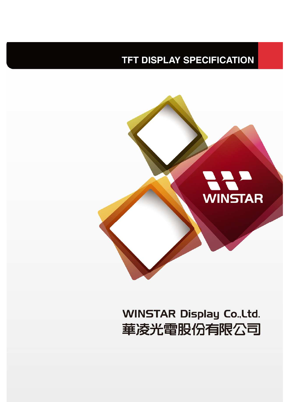## **TFT DISPLAY SPECIFICATION**



# **WINSTAR Display Co., Ltd.** 華凌光電股份有限公司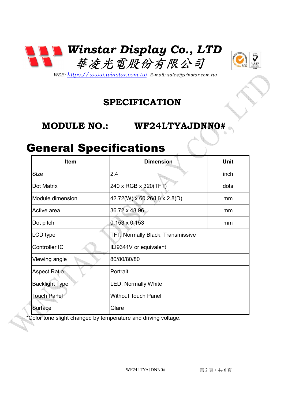



*WEB: https://www.winstar.com.tw E-mail: sales@winstar.com.tw* 

#### **SPECIFICATION**

### **MODULE NO.: WF24LTYAJDNN0#**

### General Specifications

| <b>Item</b>           | <b>Dimension</b>                         | <b>Unit</b> |
|-----------------------|------------------------------------------|-------------|
| <b>Size</b>           | 2.4                                      | inch        |
| Dot Matrix            | 240 x RGB x 320(TFT)                     | dots        |
| Module dimension      | $42.72(W) \times 60.26(H) \times 2.8(D)$ | mm          |
| Active area           | 36.72 x 48.96                            | mm          |
| Dot pitch             | $0.153 \times 0.153$                     | mm          |
| LCD type              | TFT, Normally Black, Transmissive        |             |
| Controller IC         | ILI9341V or equivalent                   |             |
| Viewing angle         | 80/80/80/80                              |             |
| <b>Aspect Ratio</b>   | Portrait                                 |             |
| <b>Backlight Type</b> | <b>LED, Normally White</b>               |             |
| <b>Touch Panel</b>    | <b>Without Touch Panel</b>               |             |
| Surface               | Glare                                    |             |

\*Color tone slight changed by temperature and driving voltage.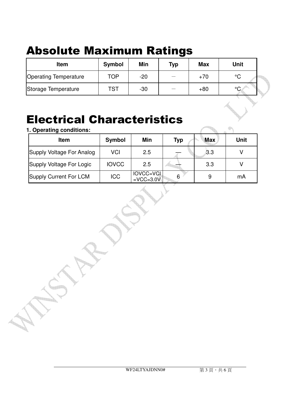# Absolute Maximum Ratings

| <b>Item</b>                  | Symbol | Min   | <b>Typ</b> | <b>Max</b> | <b>Unit</b> |
|------------------------------|--------|-------|------------|------------|-------------|
| <b>Operating Temperature</b> | TOP    | $-20$ |            | $+70$      | °C          |
| Storage Temperature          | TST    | $-30$ |            | $+80$      | $\circ$     |

### Electrical Characteristics

**1. Operating conditions:** 

| Item                      | Symbol       | Min                              | <b>Typ</b> | <b>Max</b> | <b>Unit</b> |
|---------------------------|--------------|----------------------------------|------------|------------|-------------|
| Supply Voltage For Analog | <b>VCI</b>   | 2.5                              |            | 3.3        |             |
| Supply Voltage For Logic  | <b>IOVCC</b> | 2.5                              |            | 3.3        |             |
| Supply Current For LCM    | <b>ICC</b>   | <b>IOVCC=VCI</b><br>$=$ VCC=3.0V | 6          |            | mA          |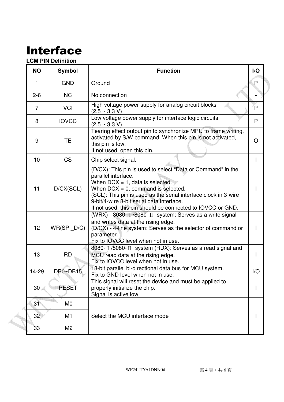## Interface

**LCM PIN Definition** 

| <b>NO</b><br><b>Symbol</b> |                 | <b>Function</b>                                                                                                                                                                                                                                                                                                                                 |              |  |  |
|----------------------------|-----------------|-------------------------------------------------------------------------------------------------------------------------------------------------------------------------------------------------------------------------------------------------------------------------------------------------------------------------------------------------|--------------|--|--|
| $\mathbf{1}$               | <b>GND</b>      | Ground                                                                                                                                                                                                                                                                                                                                          | $\mathsf{P}$ |  |  |
| $2 - 6$                    | <b>NC</b>       | No connection                                                                                                                                                                                                                                                                                                                                   |              |  |  |
| $\overline{7}$             | <b>VCI</b>      | High voltage power supply for analog circuit blocks<br>$(2.5 \sim 3.3 \text{ V})$                                                                                                                                                                                                                                                               | $\mathsf{P}$ |  |  |
| 8                          | <b>IOVCC</b>    | Low voltage power supply for interface logic circuits<br>$(2.5 \sim 3.3 \text{ V})$                                                                                                                                                                                                                                                             | P            |  |  |
| 9                          | <b>TE</b>       | Tearing effect output pin to synchronize MPU to frame writing,<br>activated by S/W command. When this pin is not activated,<br>this pin is low.<br>If not used, open this pin.                                                                                                                                                                  | $\Omega$     |  |  |
| 10                         | <b>CS</b>       | Chip select signal.                                                                                                                                                                                                                                                                                                                             |              |  |  |
| 11                         | D/CX(SCL)       | (D/CX): This pin is used to select "Data or Command" in the<br>parallel interface.<br>When $DCX = 1$ , data is selected.<br>When $DCX = 0$ , command is selected.<br>(SCL): This pin is used as the serial interface clock in 3-wire<br>9-bit/4-wire 8-bit serial data interface.<br>If not used, this pin should be connected to IOVCC or GND. |              |  |  |
| 12                         | WR(SPI_D/C)     | (WRX) - 8080- $I$ /8080- $I\!I$ system: Serves as a write signal<br>and writes data at the rising edge.<br>(D/CX) - 4-line system: Serves as the selector of command or<br>parameter.<br>Fix to IOVCC level when not in use.                                                                                                                    |              |  |  |
| 13                         | <b>RD</b>       | 8080- I /8080- II system (RDX): Serves as a read signal and<br>MCU read data at the rising edge.<br>Fix to IOVCC level when not in use.                                                                                                                                                                                                         |              |  |  |
| 14-29                      | DB0~DB15        | 18-bit parallel bi-directional data bus for MCU system.<br>Fix to GND level when not in use.                                                                                                                                                                                                                                                    | I/O          |  |  |
| 30 <sub>1</sub>            | <b>RESET</b>    | This signal will reset the device and must be applied to<br>properly initialize the chip.<br>Signal is active low.                                                                                                                                                                                                                              |              |  |  |
| 31                         | IM <sub>0</sub> |                                                                                                                                                                                                                                                                                                                                                 |              |  |  |
| 32                         | IM <sub>1</sub> | Select the MCU interface mode                                                                                                                                                                                                                                                                                                                   |              |  |  |
| 33                         | IM <sub>2</sub> |                                                                                                                                                                                                                                                                                                                                                 |              |  |  |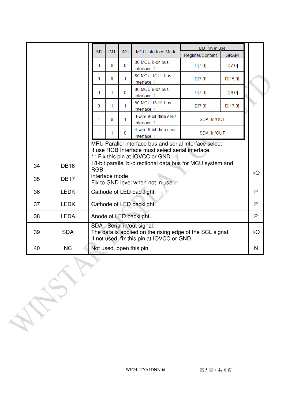|    |             | IM2        |                                                                                                                                                    |                 |                                         | DB Pin in use    |             |     |  |
|----|-------------|------------|----------------------------------------------------------------------------------------------------------------------------------------------------|-----------------|-----------------------------------------|------------------|-------------|-----|--|
|    |             |            | <b>IM1</b>                                                                                                                                         | IM <sub>0</sub> | <b>MCU-Interface Mode</b>               | Register/Content | <b>GRAM</b> |     |  |
|    |             | 0          | 0                                                                                                                                                  | $\mathbf{0}$    | 80 MCU 8-bit bus<br>interface I         | D[7:0]           | D[7:0]      |     |  |
|    |             | 0          | 0                                                                                                                                                  | 1               | 80 MCU 16-bit bus<br>interface I        | D[7:0]           | D[15:0]     |     |  |
|    |             | 0          | 1                                                                                                                                                  | $\overline{0}$  | 80 MCU 9-bit bus<br>interface I         | D[7:0]           | D[8:0]      |     |  |
|    |             | 0          | 1                                                                                                                                                  | 1               | 80 MCU 18-bit bus<br>interface I        | D[7:0]           | D[17:0]     |     |  |
|    |             | 1          | $\bf{0}$                                                                                                                                           | 1               | 3-wire 9-bit data serial<br>interface I | SDA: In/OUT      |             |     |  |
|    |             | 1          | 1                                                                                                                                                  | 0               | 4-wire 8-bit data serial<br>interface I | SDA: In/OUT      |             |     |  |
|    |             |            | MPU Parallel interface bus and serial interface select<br>If use RGB Interface must select serial interface.<br>*: Fix this pin at IOVCC or GND. 4 |                 |                                         |                  |             |     |  |
| 34 | <b>DB16</b> | <b>RGB</b> | 18-bit parallel bi-directional data bus for MCU system and                                                                                         |                 |                                         |                  |             |     |  |
| 35 | <b>DB17</b> |            | interface mode<br>Fix to GND level when not in use.                                                                                                |                 |                                         |                  |             |     |  |
| 36 | <b>LEDK</b> |            | Cathode of LED backlight.                                                                                                                          |                 |                                         |                  |             |     |  |
| 37 | <b>LEDK</b> |            | Cathode of LED backlight.                                                                                                                          |                 |                                         |                  |             | P   |  |
| 38 | <b>LEDA</b> |            | Anode of LED backlight.                                                                                                                            |                 |                                         |                  |             | P   |  |
| 39 | <b>SDA</b>  |            | SDA: Serial in/out signal.<br>The data is applied on the rising edge of the SCL signal.<br>If not used, fix this pin at IOVCC or GND.              |                 |                                         |                  |             | 1/O |  |
| 40 | <b>NC</b>   |            | Not used, open this pin                                                                                                                            |                 |                                         |                  |             | N   |  |

**Termit**